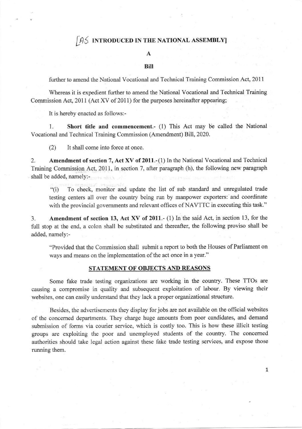# $/45$  introduced in the national assembly

### A

#### Bill

further to amend the National Vocational and Technical Training Commission Act, 201I

Whereas it is expedient further to amend the National Vocational and Technical Training Commission Act, 2011 (Act XV of 2011) for the purposes hereinafter appearing;

It is hereby enacted as follows:-

1. Short title and commencement.- (1) This Act may be called the National Vocational and Technical Training Commission (Amendment) Bill, 2020.

(2) It shall come into force at once.

2. Amendment of section 7, Act XV of 2011.-(1) In the National Vocational and Technical Training Commission Act, 2011, in section 7, after paragraph (h), the following new paragraph shall be added, namely:-

"(i) To check, monitor and update the list of sub standard and unregulated trade testing centers all over the country being run by manpower exporters: and coordinate with the provincial governments and relevant offices of NAVTTC in executing this task."

3. Amendment of section 13, Act XV of 2011.- (1) In the said Act, in section 13, for the full stop at the end, a colon shall be substituted and thereafter, the following proviso shall be added. namely:-

"Provided that the Commission shall submit a report to both the Houses of Parliament on ways and means on the implementation of the act once in a year."

#### STATEMENT OF OBJECTS AND REASONS

Some fake trade testing organizations are working in the country. These TTOs are causing a compromise in quality and subsequent exploitation of labour. By viewing their websites, one can easily understand that they lack a proper organizational structure.

Besides, the advertisements they display for jobs are not available on the official websites of the concemed departments. They charge huge amounts from poor candidates, aad demand submission of forms via courier service, which is costly too. This is how these illicit testing groups are exploiting the poor and unemployed students of the country. The concerned authorities should take legal action against these fake trade testing services, and expose those running them.

1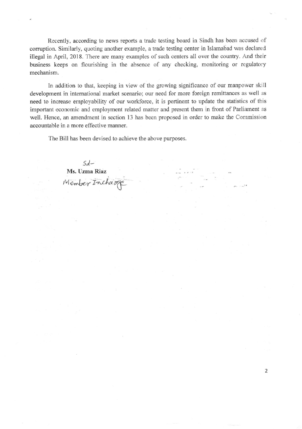Recently, according to news reports a trade testing board in Sindh has been accused of corruption. Similarly, quoting another example, a trade testing center in Islamabad was declared illegal in April, 2018. There are many examples of such centers all over the country. And their business keeps on flourishing in the absence of any checking, monitoring or regulatory mechanism.

In addition to that, keeping in view of the growing significance of our manpower skill development in international market scenario; our need for more foreign remittances as well as need to increase employability of our workforce, it is pertinent to update the statistics of this important economic and employment related matter and present them in front of Parliament as well. Hence, an amendment in section 13 has been proposed in order to make the Commission accountable in a more effective manner.

2

The Bill has been devised to achieve the above purposes

Sd-Ms. Uzma Riaz Member Incharge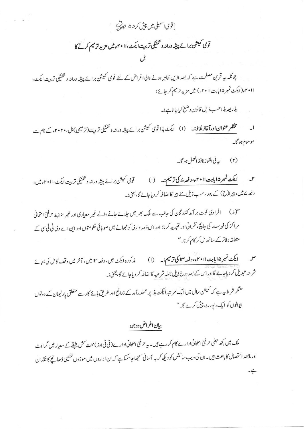[ قوى اسمبلي ميں پيش كر د ٥ ع رب

قومی کمیشن برائے پیشہ دراندو تھنیکی تربیت ایکٹ،اا ۲۰۱۰ء میں مزید ترمیم کرنے کا

چونکہ ہیہ قرین مصلحت ہے کہ بعد ازیں ظاہر ہونے والی اغراض کے لئے قومی کمیشن برائے پیشہ ورانہ و تکنیکی تربت ایکٹ، اا ۲۰۱۰ (ایکٹ نمبر ۱۵بابت ۲۰۱۱ء) میں مزید تر میم کر جائے؛

بذريعه ہذاحسب ذيل قانون وضع كياجاتاہ:۔

مختقر عنوان اورآغاز نفاذ:۔ (ا) ایکٹ ہذا قومی کمیشن برائے پیشہ ورانہ و گلنیکی تربیت(ترمیمی) بل،۲۰۲۰ء کے نام سے موسوم ہو گا۔

(۲) په في الفوز نافذ العمل ہو گا۔

۲۔ ایکٹ نمبر ۱۵اپابت ۲۰۱۱ء، دفعہ <sup>ے</sup> کی ترمیم:۔ (۱) قومی کمیشن برائے پیشہ ورانہ و تکنیکی تربیت ایکٹ،۱۱ می میں، دفعہ ۱ میں، پیرا(ح) کے بعد، حسب ذیل نئے پیراکااضافہ کر دیاجائے گا، یعنی:۔

"(ط) افرادی قوت بر آمد کنند گان کی جانب سے ملک بھر میں چلائے جانے والے غیر معیاری اور غیر منضبط حرفتی امتحانی مر اکز کی فہرست کی جانچ ، ٹکرانی اور تجدید کرنا: اور اس ذمہ داری کو نبھانے میں صوبائی حکومتوں اور این اے وی ٹی ٹی سی کے متعلقہ دفاتر کے ساتھ مل کر کام کرنا۔''

سلم پس پس ایکٹ نمبر ۱۵ اپانت ۲۰۱۱ء، دفعہ ۱۳ **کی ترمیم:۔** (۱) پر کورہ ایکٹ میں، دفعہ ۱۳ میں، آخر میں وقف کامل کی بجائے شرحہ تبدیل کر دیاجاۓ گااوراس کے بعد درج ذیل جملہ شرطیہ کااضافہ کر دیاجائے گا، یعنی:۔

"گر شرط ہیہ ہے کہ کمیشن سال میں ایک مرتبہ ایکٹ ہڈا پر عملدرآ مد<sup>ک</sup>ے ذرائع اور طریق ہائے کار سے متعلق پارلیمان کے دونوں ایوانوں کو ایک رپورٹ پیش کرے گا۔"

## بيإن اغراض دوجوه

ملک میں کچھ جعلی حرفتی امتحانی ادارے کام کر رہے ہیں۔ یہ حرفتی امتحانی ادارے(ٹی ٹی اوز)محنت کش طبقے کے معیار میں گراوٹ اور مابعد استحصال کا باعث ہیں۔ان کی دیب سائٹس کو دیکھ کر بہ آسانی سمجھا جاسکتا ہے کہ ان اداروں میں موزوں تنظیمی ڈھانچے کا فقدان -ç